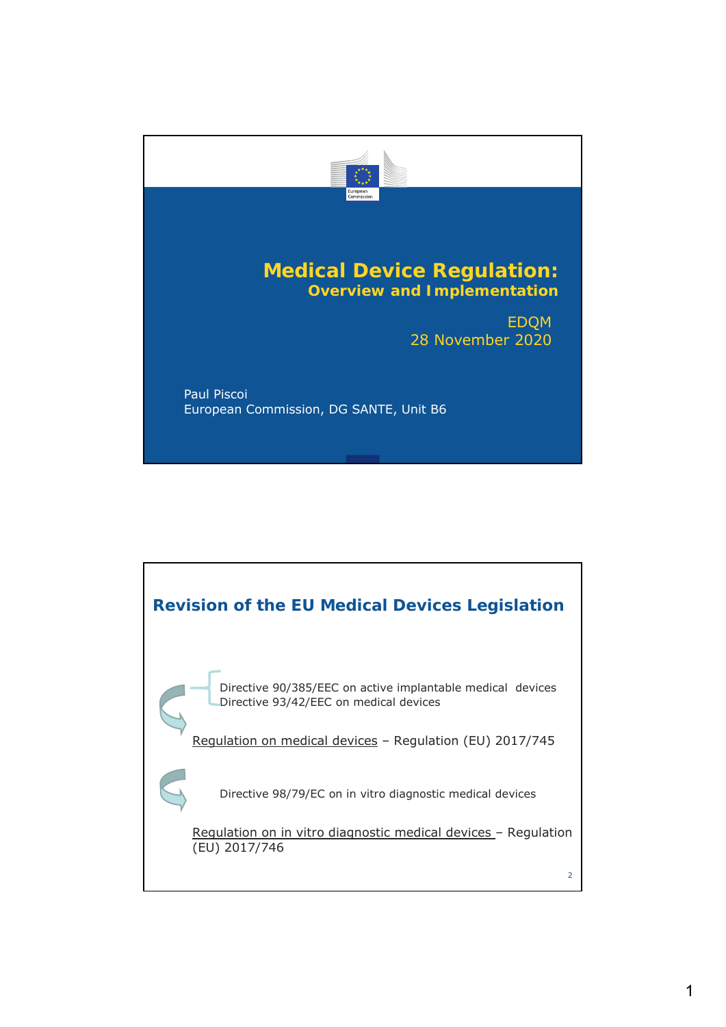

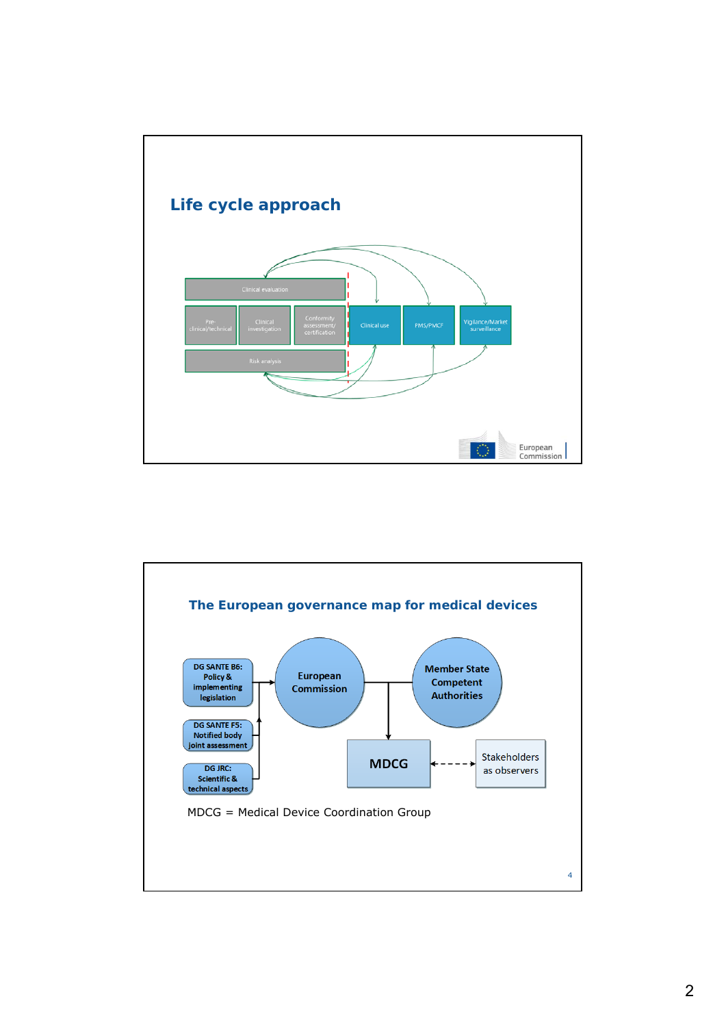

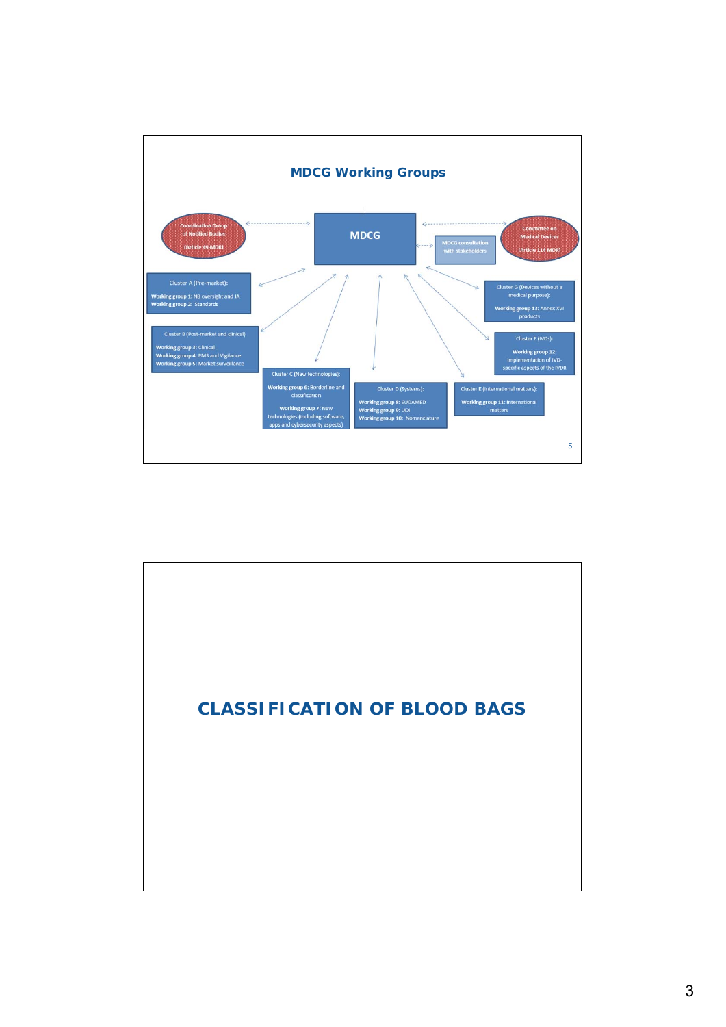

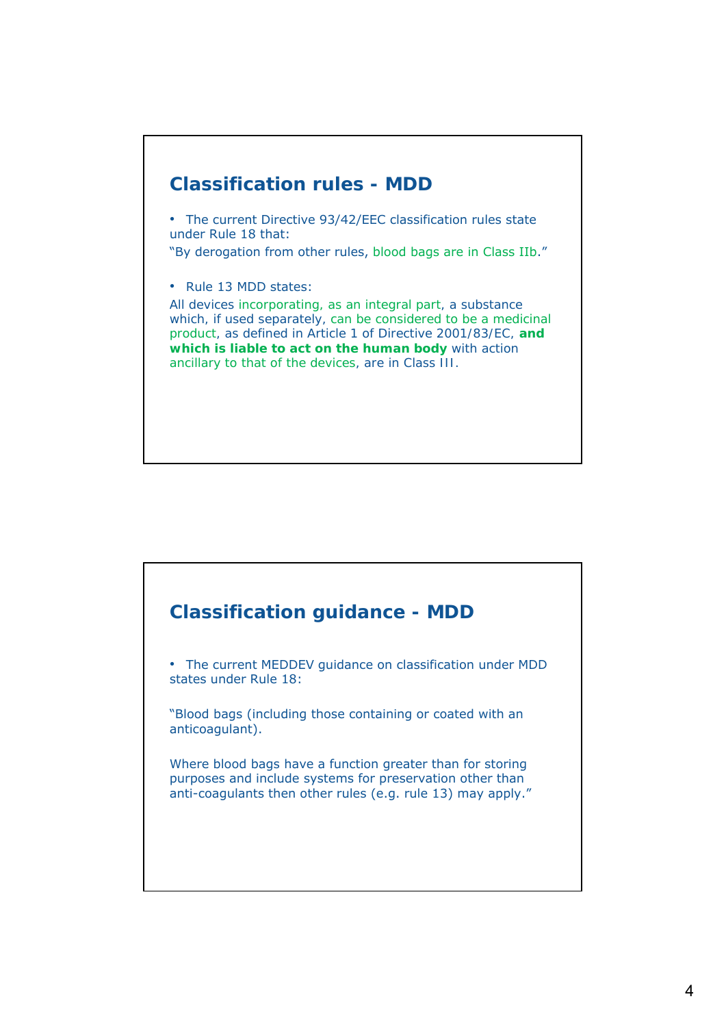

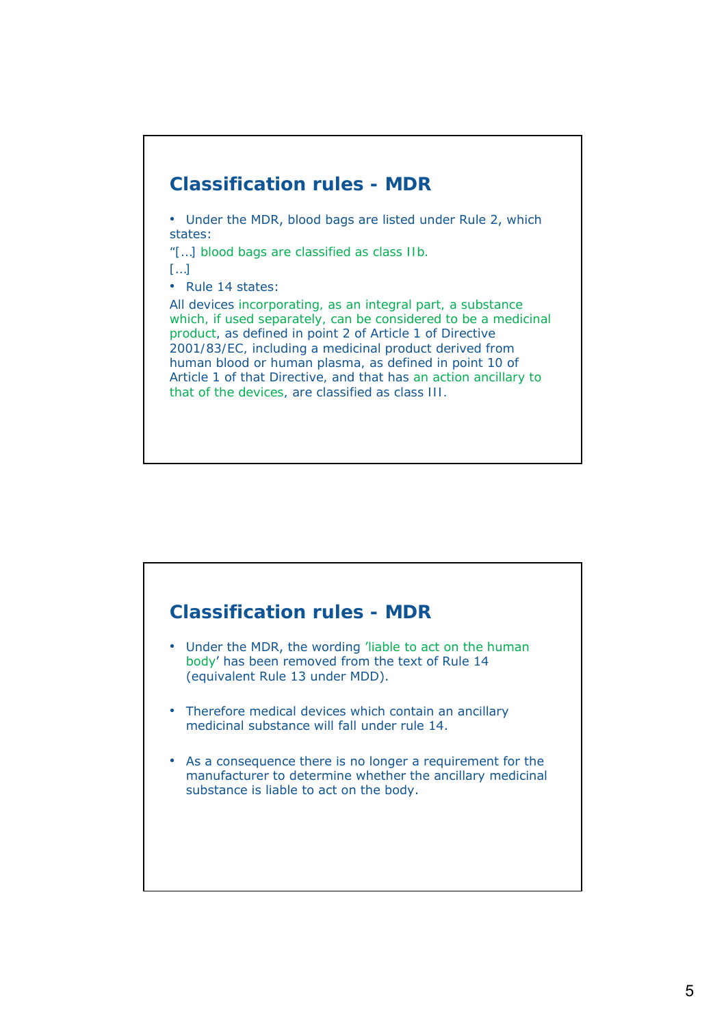

#### **Classification rules - MDR**

- Under the MDR, the wording 'liable to act on the human body' has been removed from the text of Rule 14 (equivalent Rule 13 under MDD).
- Therefore medical devices which contain an ancillary medicinal substance will fall under rule 14.
- As a consequence there is no longer a requirement for the manufacturer to determine whether the ancillary medicinal substance is liable to act on the body.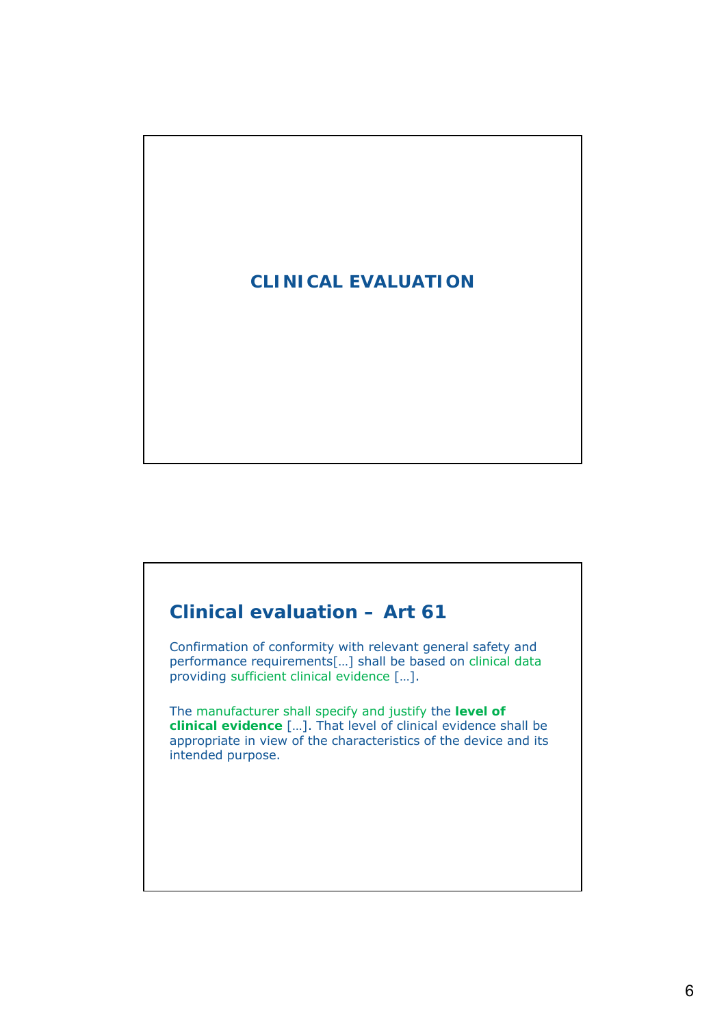# **CLINICAL EVALUATION**

## **Clinical evaluation – Art 61**

Confirmation of conformity with relevant general safety and performance requirements[…] shall be based on clinical data providing sufficient clinical evidence […].

The manufacturer shall specify and justify the **level of clinical evidence** […]. That level of clinical evidence shall be appropriate in view of the characteristics of the device and its intended purpose.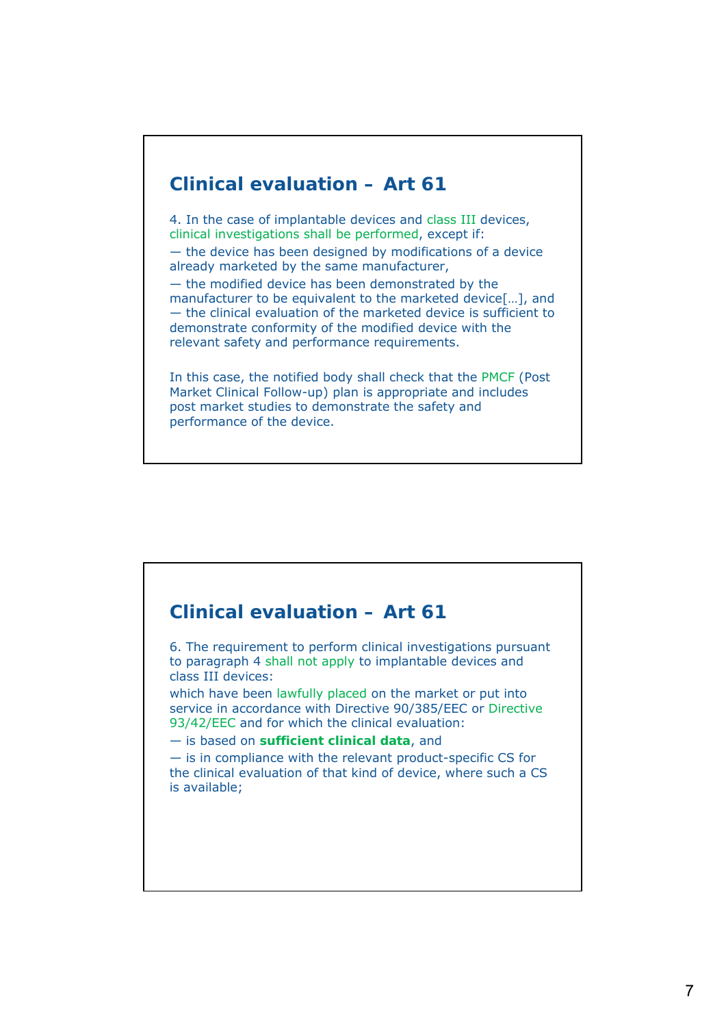## **Clinical evaluation – Art 61**

4. In the case of implantable devices and class III devices, clinical investigations shall be performed, except if: — the device has been designed by modifications of a device already marketed by the same manufacturer, — the modified device has been demonstrated by the manufacturer to be equivalent to the marketed device[…], and — the clinical evaluation of the marketed device is sufficient to demonstrate conformity of the modified device with the relevant safety and performance requirements.

In this case, the notified body shall check that the PMCF (Post Market Clinical Follow-up) plan is appropriate and includes post market studies to demonstrate the safety and performance of the device.

# **Clinical evaluation – Art 61** 6. The requirement to perform clinical investigations pursuant to paragraph 4 shall not apply to implantable devices and class III devices: which have been lawfully placed on the market or put into service in accordance with Directive 90/385/EEC or Directive 93/42/EEC and for which the clinical evaluation: — is based on **sufficient clinical data**, and — is in compliance with the relevant product-specific CS for the clinical evaluation of that kind of device, where such a CS is available;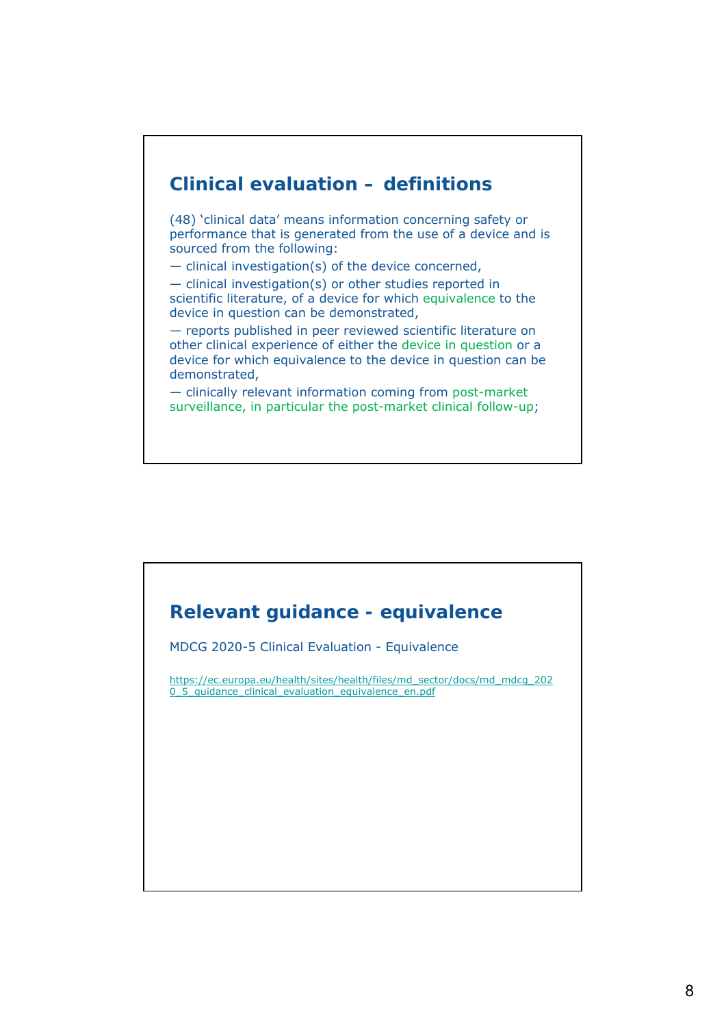

(48) 'clinical data' means information concerning safety or performance that is generated from the use of a device and is sourced from the following:

— clinical investigation(s) of the device concerned,

— clinical investigation(s) or other studies reported in scientific literature, of a device for which equivalence to the device in question can be demonstrated,

— reports published in peer reviewed scientific literature on other clinical experience of either the device in question or a device for which equivalence to the device in question can be demonstrated,

— clinically relevant information coming from post-market surveillance, in particular the post-market clinical follow-up;

## **Relevant guidance - equivalence**

MDCG 2020-5 Clinical Evaluation - Equivalence

https://ec.europa.eu/health/sites/health/files/md\_sector/docs/md\_mdcg\_202 0\_5\_quidance\_clinical\_evaluation\_equivalence\_en.pdf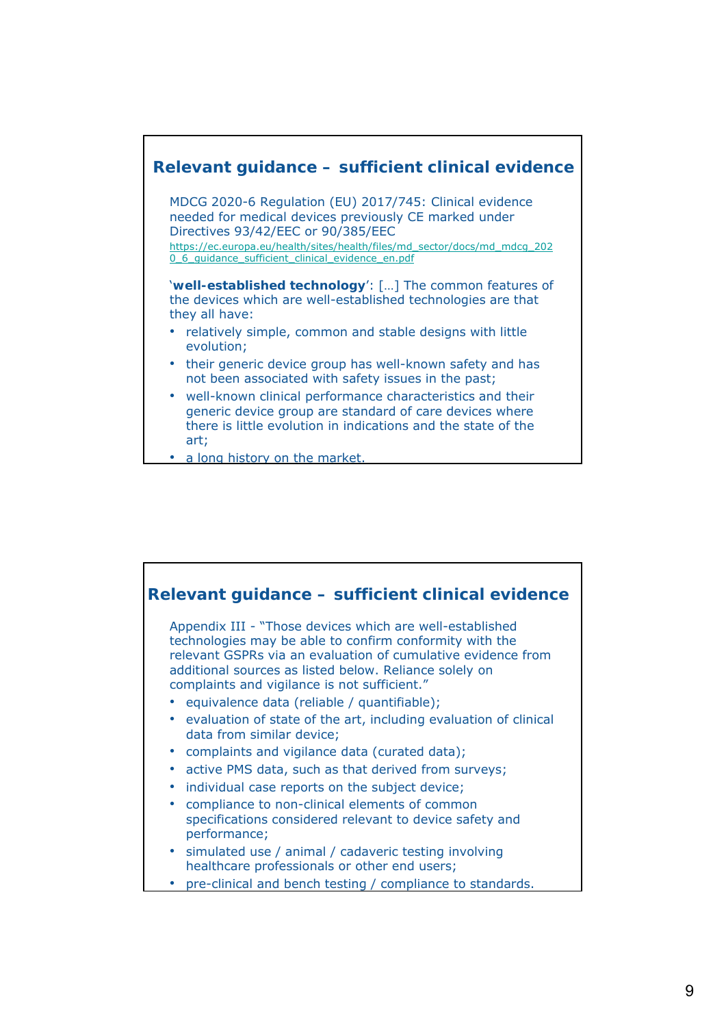

• a long history on the market.

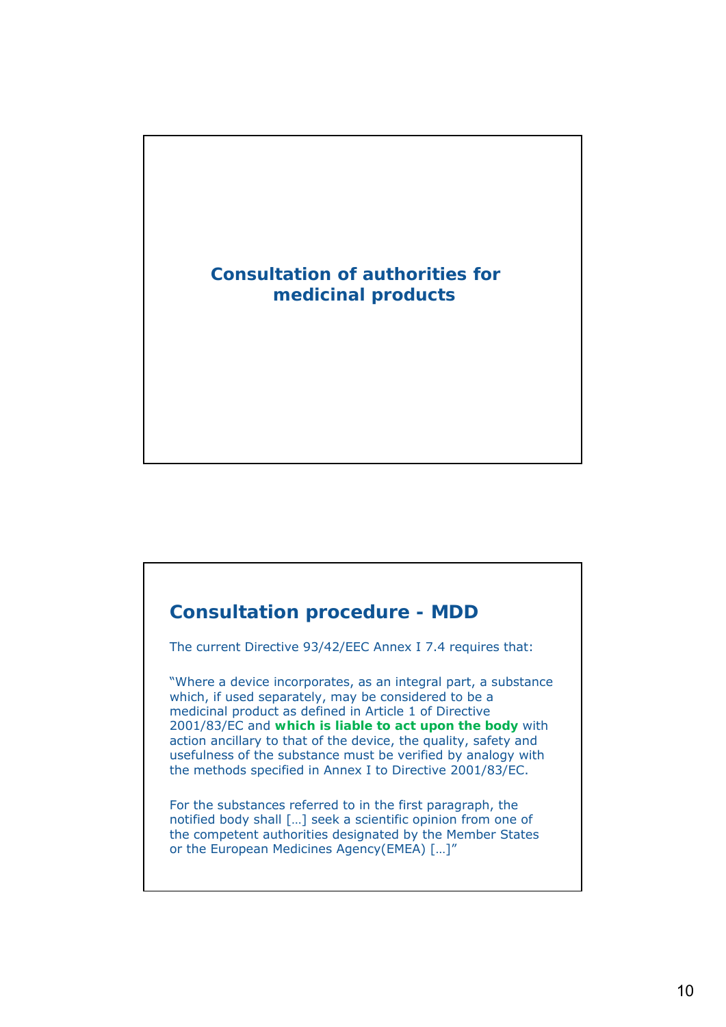# **Consultation of authorities for medicinal products**

## **Consultation procedure - MDD**

The current Directive 93/42/EEC Annex I 7.4 requires that:

"Where a device incorporates, as an integral part, a substance which, if used separately, may be considered to be a medicinal product as defined in Article 1 of Directive 2001/83/EC and **which is liable to act upon the body** with action ancillary to that of the device, the quality, safety and usefulness of the substance must be verified by analogy with the methods specified in Annex I to Directive 2001/83/EC.

For the substances referred to in the first paragraph, the notified body shall […] seek a scientific opinion from one of the competent authorities designated by the Member States or the European Medicines Agency(EMEA) […]"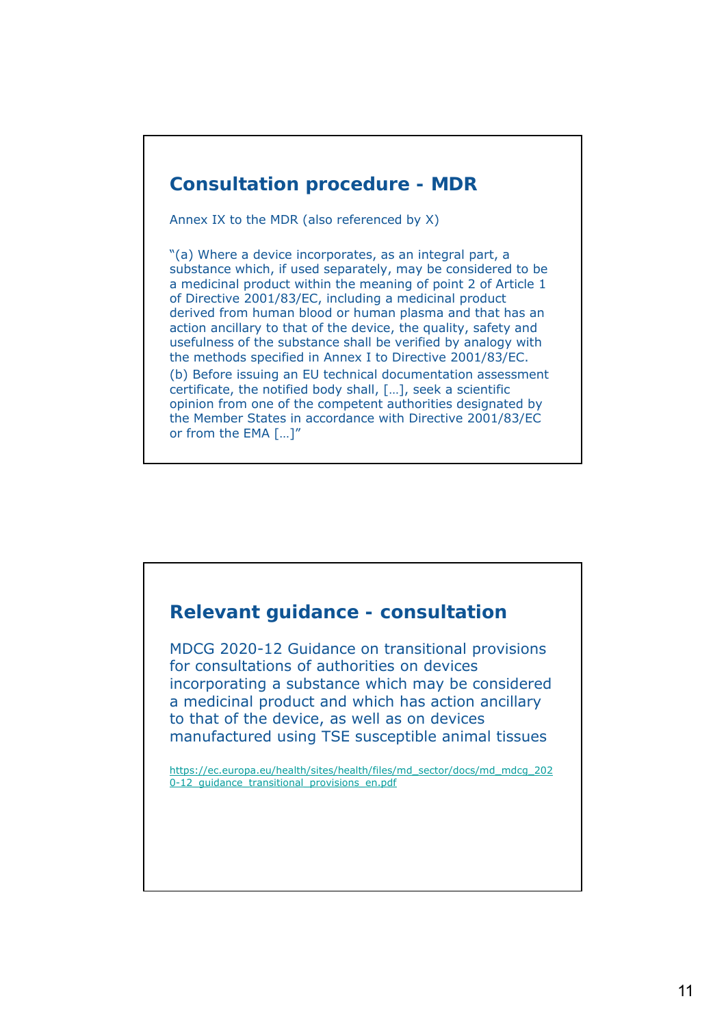### **Consultation procedure - MDR**

Annex IX to the MDR (also referenced by X)

"(a) Where a device incorporates, as an integral part, a substance which, if used separately, may be considered to be a medicinal product within the meaning of point 2 of Article 1 of Directive 2001/83/EC, including a medicinal product derived from human blood or human plasma and that has an action ancillary to that of the device, the quality, safety and usefulness of the substance shall be verified by analogy with the methods specified in Annex I to Directive 2001/83/EC.

(b) Before issuing an EU technical documentation assessment certificate, the notified body shall, […], seek a scientific opinion from one of the competent authorities designated by the Member States in accordance with Directive 2001/83/EC or from the EMA […]"

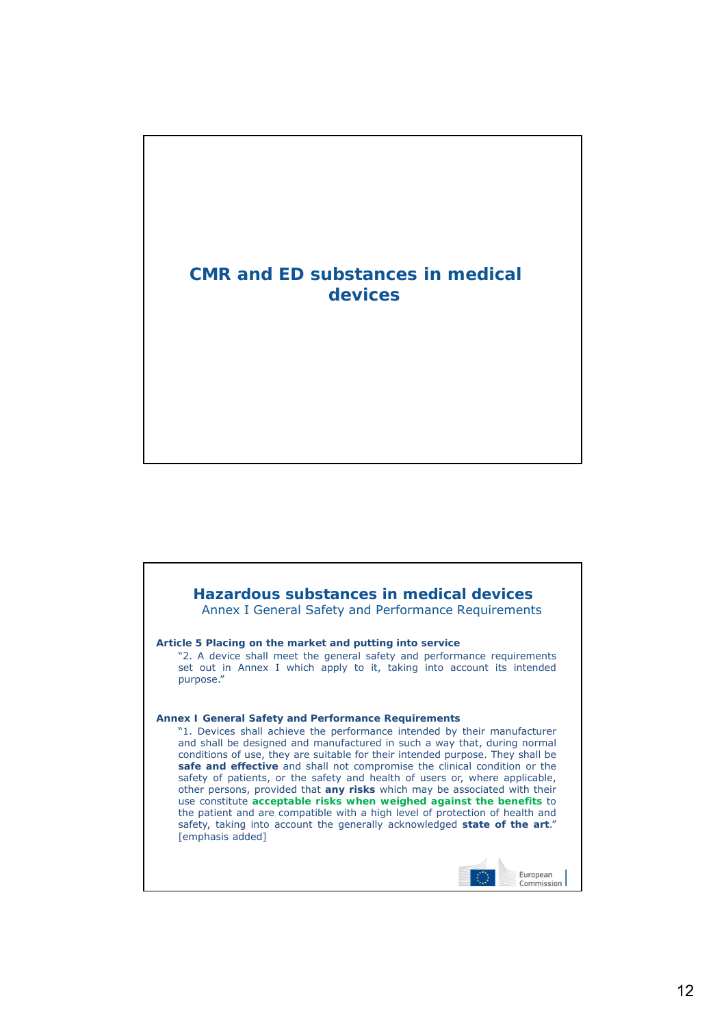

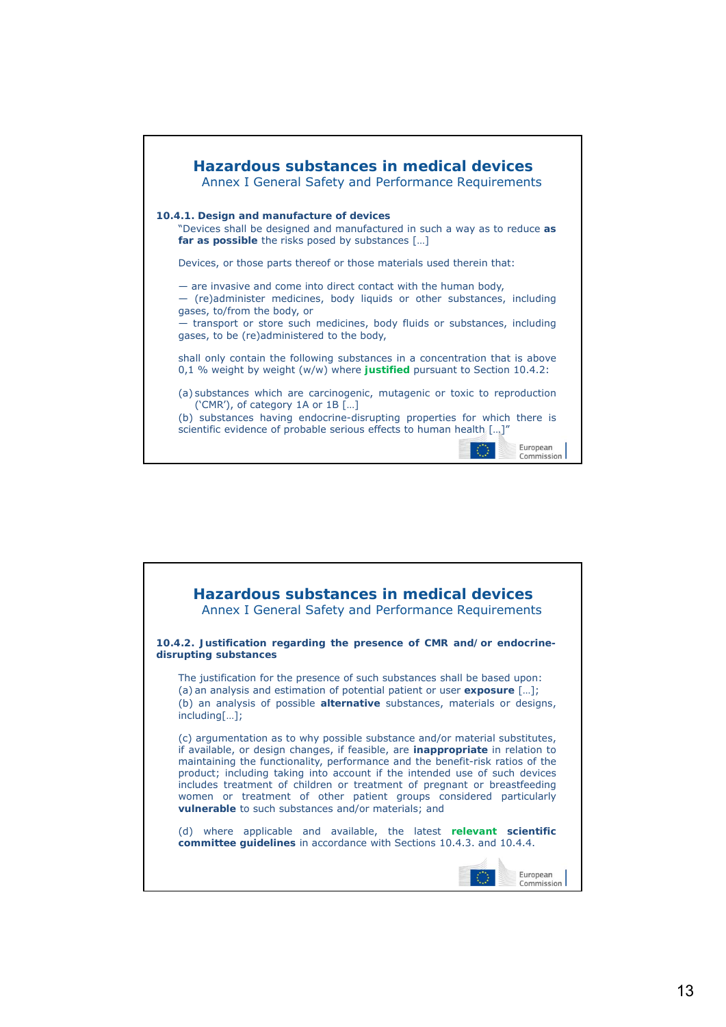

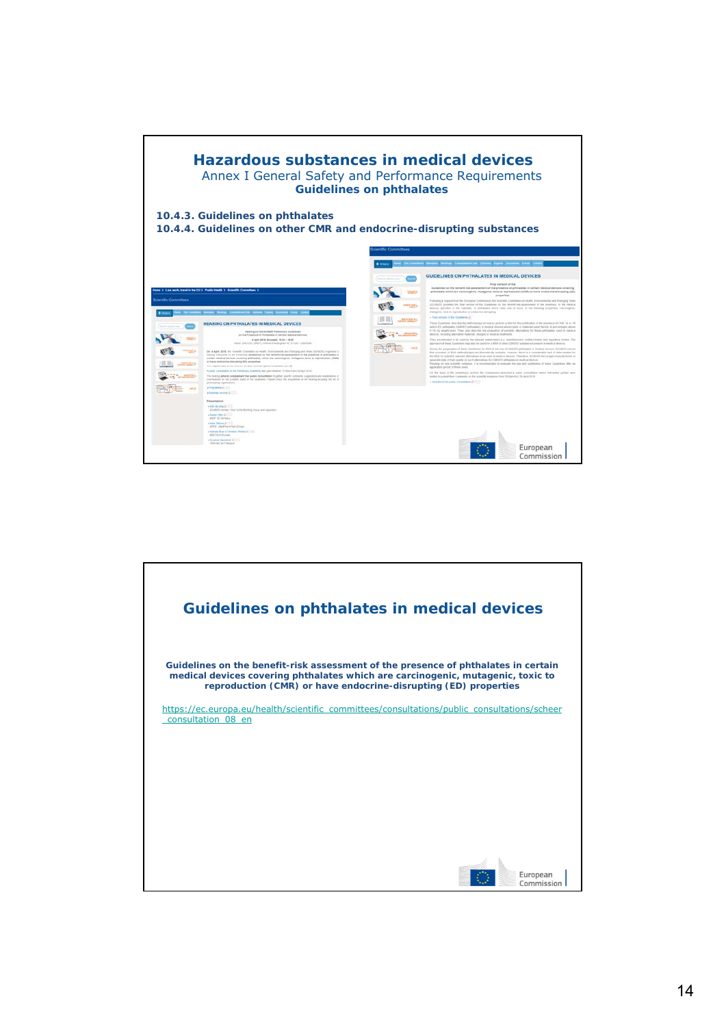

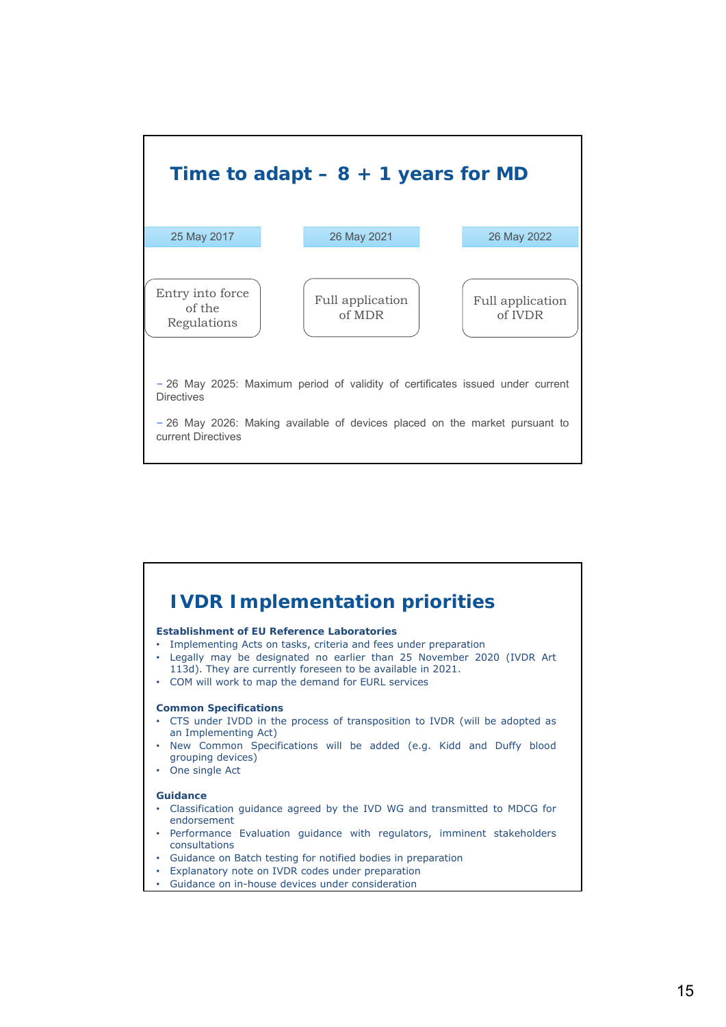